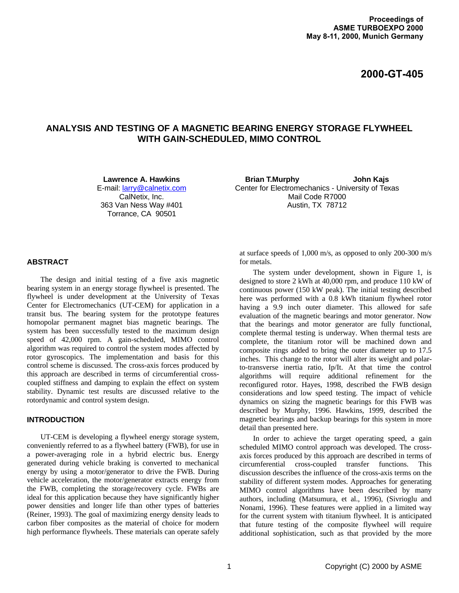# **2000-GT-405**

# **ANALYSIS AND TESTING OF A MAGNETIC BEARING ENERGY STORAGE FLYWHEEL WITH GAIN-SCHEDULED, MIMO CONTROL**

**Lawrence A. Hawkins** E-mail[: larry@calnetix.com](mailto:larry@calnetix.com) CalNetix, Inc. 363 Van Ness Way #401 Torrance, CA 90501

**Brian T.Murphy John Kajs** Center for Electromechanics - University of Texas Mail Code R7000 Austin, TX 78712

## **ABSTRACT**

The design and initial testing of a five axis magnetic bearing system in an energy storage flywheel is presented. The flywheel is under development at the University of Texas Center for Electromechanics (UT-CEM) for application in a transit bus. The bearing system for the prototype features homopolar permanent magnet bias magnetic bearings. The system has been successfully tested to the maximum design speed of 42,000 rpm. A gain-scheduled, MIMO control algorithm was required to control the system modes affected by rotor gyroscopics. The implementation and basis for this control scheme is discussed. The cross-axis forces produced by this approach are described in terms of circumferential crosscoupled stiffness and damping to explain the effect on system stability. Dynamic test results are discussed relative to the rotordynamic and control system design.

# **INTRODUCTION**

UT-CEM is developing a flywheel energy storage system, conveniently referred to as a flywheel battery (FWB), for use in a power-averaging role in a hybrid electric bus. Energy generated during vehicle braking is converted to mechanical energy by using a motor/generator to drive the FWB. During vehicle acceleration, the motor/generator extracts energy from the FWB, completing the storage/recovery cycle. FWBs are ideal for this application because they have significantly higher power densities and longer life than other types of batteries (Reiner, 1993). The goal of maximizing energy density leads to carbon fiber composites as the material of choice for modern high performance flywheels. These materials can operate safely at surface speeds of 1,000 m/s, as opposed to only 200-300 m/s for metals.

The system under development, shown in Figure 1, is designed to store 2 kWh at 40,000 rpm, and produce 110 kW of continuous power (150 kW peak). The initial testing described here was performed with a 0.8 kWh titanium flywheel rotor having a 9.9 inch outer diameter. This allowed for safe evaluation of the magnetic bearings and motor generator. Now that the bearings and motor generator are fully functional, complete thermal testing is underway. When thermal tests are complete, the titanium rotor will be machined down and composite rings added to bring the outer diameter up to 17.5 inches. This change to the rotor will alter its weight and polarto-transverse inertia ratio, Ip/It. At that time the control algorithms will require additional refinement for the reconfigured rotor. Hayes, 1998, described the FWB design considerations and low speed testing. The impact of vehicle dynamics on sizing the magnetic bearings for this FWB was described by Murphy, 1996. Hawkins, 1999, described the magnetic bearings and backup bearings for this system in more detail than presented here.

In order to achieve the target operating speed, a gain scheduled MIMO control approach was developed. The crossaxis forces produced by this approach are described in terms of circumferential cross-coupled transfer functions. This discussion describes the influence of the cross-axis terms on the stability of different system modes. Approaches for generating MIMO control algorithms have been described by many authors, including (Matsumura, et al., 1996), (Sivrioglu and Nonami, 1996). These features were applied in a limited way for the current system with titanium flywheel. It is anticipated that future testing of the composite flywheel will require additional sophistication, such as that provided by the more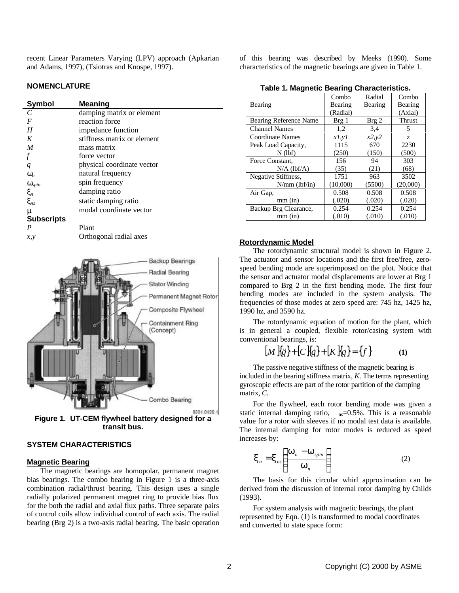recent Linear Parameters Varying (LPV) approach (Apkarian and Adams, 1997), (Tsiotras and Knospe, 1997).

# **NOMENCLATURE**

| <b>Symbol</b>     | <b>Meaning</b>              |
|-------------------|-----------------------------|
| C                 | damping matrix or element   |
| $\boldsymbol{F}$  | reaction force              |
| H                 | impedance function          |
| K                 | stiffness matrix or element |
| M                 | mass matrix                 |
|                   | force vector                |
| q                 | physical coordinate vector  |
| $W_n$             | natural frequency           |
| $W_{spin}$        | spin frequency              |
| $\mathbf{X}_n$    | damping ratio               |
| $\mathbf{X}_{ns}$ | static damping ratio        |
| m                 | modal coordinate vector     |
| <b>Subscripts</b> |                             |
| P                 | Plant                       |
| x, y              | Orthogonal radial axes      |



**Figure 1. UT-CEM flywheel battery designed for a transit bus.**

## **SYSTEM CHARACTERISTICS**

#### **Magnetic Bearing**

The magnetic bearings are homopolar, permanent magnet bias bearings. The combo bearing in Figure 1 is a three-axis combination radial/thrust bearing. This design uses a single radially polarized permanent magnet ring to provide bias flux for the both the radial and axial flux paths. Three separate pairs of control coils allow individual control of each axis. The radial bearing (Brg 2) is a two-axis radial bearing. The basic operation of this bearing was described by Meeks (1990). Some characteristics of the magnetic bearings are given in Table 1.

|                         | Combo    | Radial  | Combo       |
|-------------------------|----------|---------|-------------|
| Bearing                 | Bearing  | Bearing | Bearing     |
|                         | (Radial) |         | (Axial)     |
| Bearing Reference Name  | Brg 1    | Brg 2   | Thrust      |
| <b>Channel Names</b>    | 1,2      | 3.4     | 5           |
| <b>Coordinate Names</b> | xI, yI   | x2,y2   | $Z_{\rm c}$ |
| Peak Load Capacity,     | 1115     | 670     | 2230        |
| $N$ (lbf)               | (250)    | (150)   | (500)       |
| Force Constant,         | 156      | 94      | 303         |
| $N/A$ (lbf/A)           | (35)     | (21)    | (68)        |
| Negative Stiffness,     | 1751     | 963     | 3502        |
| $N/mm$ (lbf/in)         | (10,000) | (5500)  | (20,000)    |
| Air Gap,                | 0.508    | 0.508   | 0.508       |
| $mm$ $(in)$             | (.020)   | (.020)  | (.020)      |
| Backup Brg Clearance,   | 0.254    | 0.254   | 0.254       |
| $mm$ (in)               | (.010)   | (.010)  | (.010)      |

#### **Table 1. Magnetic Bearing Characteristics.**

#### **Rotordynamic Model**

The rotordynamic structural model is shown in Figure 2. The actuator and sensor locations and the first free/free, zerospeed bending mode are superimposed on the plot. Notice that the sensor and actuator modal displacements are lower at Brg 1 compared to Brg 2 in the first bending mode. The first four bending modes are included in the system analysis. The frequencies of those modes at zero speed are: 745 hz, 1425 hz, 1990 hz, and 3590 hz.

The rotordynamic equation of motion for the plant, which is in general a coupled, flexible rotor/casing system with conventional bearings, is:

$$
[M \, \{ \dot{q} \} + [C \, \{ \dot{q} \} + [K \, \{ q \} = \{ f \} \tag{1}
$$

The passive negative stiffness of the magnetic bearing is included in the bearing stiffness matrix, *K*. The terms representing gyroscopic effects are part of the rotor partition of the damping matrix, *C*.

For the flywheel, each rotor bending mode was given a static internal damping ratio,  $n_s=0.5\%$ . This is a reasonable value for a rotor with sleeves if no modal test data is available. The internal damping for rotor modes is reduced as speed increases by:

$$
\boldsymbol{X}_n = \boldsymbol{X}_{ns} \left( \frac{\boldsymbol{W}_n - \boldsymbol{W}_{spin}}{\boldsymbol{W}_n} \right) \tag{2}
$$

The basis for this circular whirl approximation can be derived from the discussion of internal rotor damping by Childs (1993).

For system analysis with magnetic bearings, the plant represented by Eqn. (1) is transformed to modal coordinates and converted to state space form: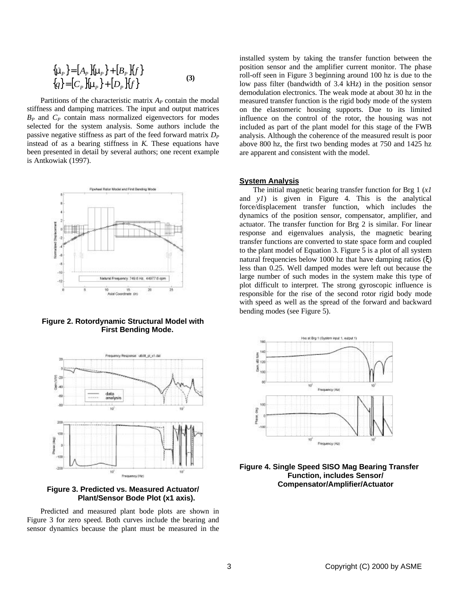$$
\{\mathbf{\dot{m}}_{P}\} = [A_{P} \mathbf{[m}_{P}] + [B_{P} \mathbf{[}f]\} + [C_{P} \mathbf{[}g] + [C_{P} \mathbf{[}g] + [D_{P} \mathbf{[}g]\mathbf{[}g]\} + [D_{P} \mathbf{[}g]\mathbf{[}g\mathbf{[}g\mathbf{[}g\mathbf{[}g\mathbf{[}g\mathbf{[}g\mathbf{[}g\mathbf{[}g\mathbf{[}g\mathbf{[}g\mathbf{[}g\mathbf{[}g\mathbf{[}g\mathbf{[}g\mathbf{[}g\mathbf{[}g\mathbf{[}g\mathbf{[}g\mathbf{[}g\mathbf{[}g\mathbf{[}g\mathbf{[}g\mathbf{[}g\mathbf{[}g\mathbf{[}g\mathbf{[}g\mathbf{[}g\mathbf{[}g\mathbf{[}g\mathbf{[}g\mathbf{[}g\mathbf{[}g\mathbf{[}g\mathbf{[}g\mathbf{[}g\mathbf{[}g\mathbf{[}g\mathbf{[}g\mathbf{[}g\mathbf{[}g\mathbf{[}g\mathbf{[}g\mathbf{[}g\mathbf{[}g\mathbf{[}g\mathbf{[}g\mathbf{[}g\mathbf{[}g\mathbf{[}g\mathbf{[}g\mathbf{[}g\mathbf{[}g\mathbf{[}g\mathbf{[}g\mathbf{[}g\mathbf{[}g\mathbf{[}g\mathbf{[}g\mathbf{[}g\mathbf{[}g\mathbf{[}g\mathbf{[}g\mathbf{[}g\mathbf{[}g\mathbf{[}g\mathbf{[}g\mathbf{[}g\mathbf{[}g\mathbf{[}g\mathbf{[}g\mathbf{[}g\mathbf{[}g\mathbf{[}g\mathbf{[}g\mathbf{[}g\mathbf{[}g\mathbf{[}g\mathbf{[}g\mathbf{[}g\mathbf{[}g\mathbf{[}g\mathbf{[}g\mathbf{[}g\mathbf{[}g\mathbf{[}g\mathbf{[}g\mathbf{[}g\mathbf{[}g\mathbf{[}g\mathbf{[}g\mathbf{[}g\mathbf{[}g\mathbf{[}g\mathbf
$$

Partitions of the characteristic matrix  $A<sub>P</sub>$  contain the modal stiffness and damping matrices. The input and output matrices  $B<sub>P</sub>$  and  $C<sub>P</sub>$  contain mass normalized eigenvectors for modes selected for the system analysis. Some authors include the passive negative stiffness as part of the feed forward matrix *D<sup>P</sup>* instead of as a bearing stiffness in *K*. These equations have been presented in detail by several authors; one recent example is Antkowiak (1997).



**Figure 2. Rotordynamic Structural Model with First Bending Mode.**





Predicted and measured plant bode plots are shown in Figure 3 for zero speed. Both curves include the bearing and sensor dynamics because the plant must be measured in the installed system by taking the transfer function between the position sensor and the amplifier current monitor. The phase roll-off seen in Figure 3 beginning around 100 hz is due to the low pass filter (bandwidth of 3.4 kHz) in the position sensor demodulation electronics. The weak mode at about 30 hz in the measured transfer function is the rigid body mode of the system on the elastomeric housing supports. Due to its limited influence on the control of the rotor, the housing was not included as part of the plant model for this stage of the FWB analysis. Although the coherence of the measured result is poor above 800 hz, the first two bending modes at 750 and 1425 hz are apparent and consistent with the model.

# **System Analysis**

The initial magnetic bearing transfer function for Brg 1 (*x1* and *y1*) is given in Figure 4. This is the analytical force/displacement transfer function, which includes the dynamics of the position sensor, compensator, amplifier, and actuator. The transfer function for Brg 2 is similar. For linear response and eigenvalues analysis, the magnetic bearing transfer functions are converted to state space form and coupled to the plant model of Equation 3. Figure 5 is a plot of all system natural frequencies below 1000 hz that have damping ratios (ξ) less than 0.25. Well damped modes were left out because the large number of such modes in the system make this type of plot difficult to interpret. The strong gyroscopic influence is responsible for the rise of the second rotor rigid body mode with speed as well as the spread of the forward and backward bending modes (see Figure 5).



**Figure 4. Single Speed SISO Mag Bearing Transfer Function, includes Sensor/ Compensator/Amplifier/Actuator**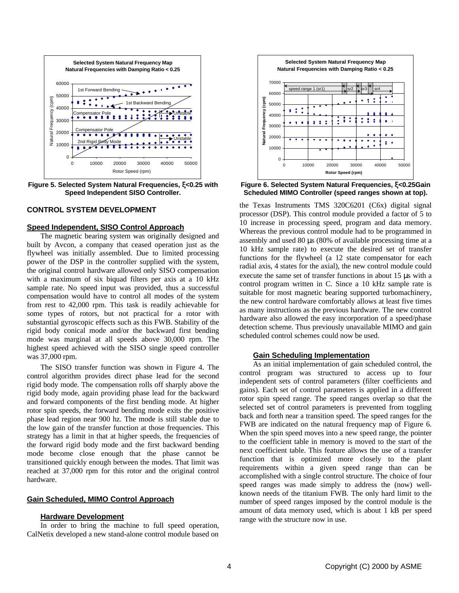

**Figure 5. Selected System Natural Frequencies,** ξ**<0.25 with Speed Independent SISO Controller.**

### **CONTROL SYSTEM DEVELOPMENT**

#### **Speed Independent, SISO Control Approach**

The magnetic bearing system was originally designed and built by Avcon, a company that ceased operation just as the flywheel was initially assembled. Due to limited processing power of the DSP in the controller supplied with the system, the original control hardware allowed only SISO compensation with a maximum of six biquad filters per axis at a 10 kHz sample rate. No speed input was provided, thus a successful compensation would have to control all modes of the system from rest to 42,000 rpm. This task is readily achievable for some types of rotors, but not practical for a rotor with substantial gyroscopic effects such as this FWB. Stability of the rigid body conical mode and/or the backward first bending mode was marginal at all speeds above 30,000 rpm. The highest speed achieved with the SISO single speed controller was 37,000 rpm.

The SISO transfer function was shown in Figure 4. The control algorithm provides direct phase lead for the second rigid body mode. The compensation rolls off sharply above the rigid body mode, again providing phase lead for the backward and forward components of the first bending mode. At higher rotor spin speeds, the forward bending mode exits the positive phase lead region near 900 hz. The mode is still stable due to the low gain of the transfer function at those frequencies. This strategy has a limit in that at higher speeds, the frequencies of the forward rigid body mode and the first backward bending mode become close enough that the phase cannot be transitioned quickly enough between the modes. That limit was reached at 37,000 rpm for this rotor and the original control hardware.

#### **Gain Scheduled, MIMO Control Approach**

#### **Hardware Development**

In order to bring the machine to full speed operation, CalNetix developed a new stand-alone control module based on



**Figure 6. Selected System Natural Frequencies,** ξ**<0.25Gain Scheduled MIMO Controller (speed ranges shown at top).**

the Texas Instruments TMS 320C6201 (C6x) digital signal processor (DSP). This control module provided a factor of 5 to 10 increase in processing speed, program and data memory. Whereas the previous control module had to be programmed in assembly and used 80 μs (80% of available processing time at a 10 kHz sample rate) to execute the desired set of transfer functions for the flywheel (a 12 state compensator for each radial axis, 4 states for the axial), the new control module could execute the same set of transfer functions in about 15 μs with a control program written in C. Since a 10 kHz sample rate is suitable for most magnetic bearing supported turbomachinery, the new control hardware comfortably allows at least five times as many instructions as the previous hardware. The new control hardware also allowed the easy incorporation of a speed/phase detection scheme. Thus previously unavailable MIMO and gain scheduled control schemes could now be used.

#### **Gain Scheduling Implementation**

As an initial implementation of gain scheduled control, the control program was structured to access up to four independent sets of control parameters (filter coefficients and gains). Each set of control parameters is applied in a different rotor spin speed range. The speed ranges overlap so that the selected set of control parameters is prevented from toggling back and forth near a transition speed. The speed ranges for the FWB are indicated on the natural frequency map of Figure 6. When the spin speed moves into a new speed range, the pointer to the coefficient table in memory is moved to the start of the next coefficient table. This feature allows the use of a transfer function that is optimized more closely to the plant requirements within a given speed range than can be accomplished with a single control structure. The choice of four speed ranges was made simply to address the (now) wellknown needs of the titanium FWB. The only hard limit to the number of speed ranges imposed by the control module is the amount of data memory used, which is about 1 kB per speed range with the structure now in use.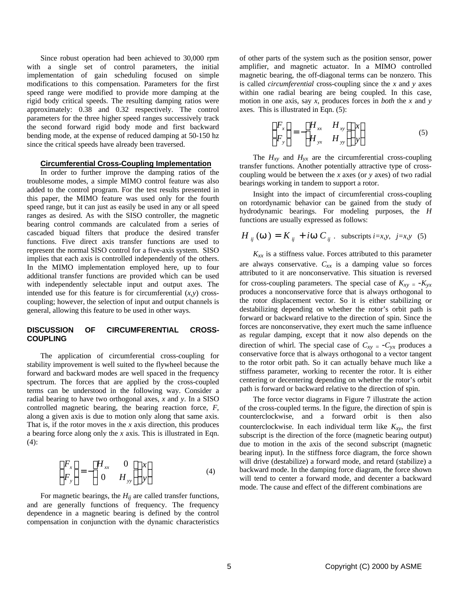Since robust operation had been achieved to 30,000 rpm with a single set of control parameters, the initial implementation of gain scheduling focused on simple modifications to this compensation. Parameters for the first speed range were modified to provide more damping at the rigid body critical speeds. The resulting damping ratios were approximately: 0.38 and 0.32 respectively. The control parameters for the three higher speed ranges successively track the second forward rigid body mode and first backward bending mode, at the expense of reduced damping at 50-150 hz since the critical speeds have already been traversed.

#### **Circumferential Cross-Coupling Implementation**

In order to further improve the damping ratios of the troublesome modes, a simple MIMO control feature was also added to the control program. For the test results presented in this paper, the MIMO feature was used only for the fourth speed range, but it can just as easily be used in any or all speed ranges as desired. As with the SISO controller, the magnetic bearing control commands are calculated from a series of cascaded biquad filters that produce the desired transfer functions. Five direct axis transfer functions are used to represent the normal SISO control for a five-axis system. SISO implies that each axis is controlled independently of the others. In the MIMO implementation employed here, up to four additional transfer functions are provided which can be used with independently selectable input and output axes. The intended use for this feature is for circumferential  $(x, y)$  crosscoupling; however, the selection of input and output channels is general, allowing this feature to be used in other ways.

## **DISCUSSION OF CIRCUMFERENTIAL CROSS-COUPLING**

The application of circumferential cross-coupling for stability improvement is well suited to the flywheel because the forward and backward modes are well spaced in the frequency spectrum. The forces that are applied by the cross-coupled terms can be understood in the following way. Consider a radial bearing to have two orthogonal axes, *x* and *y*. In a SISO controlled magnetic bearing, the bearing reaction force, *F*, along a given axis is due to motion only along that same axis. That is, if the rotor moves in the *x* axis direction, this produces a bearing force along only the *x* axis. This is illustrated in Eqn.  $(4)$ :

$$
\begin{Bmatrix} F_x \\ F_y \end{Bmatrix} = - \begin{bmatrix} H_{xx} & 0 \\ 0 & H_{yy} \end{bmatrix} \begin{Bmatrix} x \\ y \end{Bmatrix}
$$
 (4)

For magnetic bearings, the *Hij* are called transfer functions, and are generally functions of frequency. The frequency dependence in a magnetic bearing is defined by the control compensation in conjunction with the dynamic characteristics

of other parts of the system such as the position sensor, power amplifier, and magnetic actuator. In a MIMO controlled magnetic bearing, the off-diagonal terms can be nonzero. This is called *circumferential* cross-coupling since the *x* and *y* axes within one radial bearing are being coupled. In this case, motion in one axis, say *x*, produces forces in *both* the *x* and *y* axes. This is illustrated in Eqn. (5):

$$
\begin{Bmatrix} F_x \\ F_y \end{Bmatrix} = - \begin{bmatrix} H_{xx} & H_{xy} \\ H_{yx} & H_{yy} \end{bmatrix} \begin{Bmatrix} x \\ y \end{Bmatrix}
$$
 (5)

The  $H_{xy}$  and  $H_{yx}$  are the circumferential cross-coupling transfer functions. Another potentially attractive type of crosscoupling would be between the *x* axes (or *y* axes) of two radial bearings working in tandem to support a rotor.

Insight into the impact of circumferential cross-coupling on rotordynamic behavior can be gained from the study of hydrodynamic bearings. For modeling purposes, the *H* functions are usually expressed as follows:

$$
H_{ij}(\mathbf{w}) = K_{ij} + i\mathbf{w} C_{ij}
$$
. subscripts *i=x,y, j=x,y* (5)

 $K_{xx}$  is a stiffness value. Forces attributed to this parameter are always conservative.  $C_{xx}$  is a damping value so forces attributed to it are nonconservative. This situation is reversed for cross-coupling parameters. The special case of  $K_{xy} = -K_{yx}$ produces a nonconservative force that is always orthogonal to the rotor displacement vector. So it is either stabilizing or destabilizing depending on whether the rotor's orbit path is forward or backward relative to the direction of spin. Since the forces are nonconservative, they exert much the same influence as regular damping, except that it now also depends on the direction of whirl. The special case of  $C_{xy} = -C_{yx}$  produces a conservative force that is always orthogonal to a vector tangent to the rotor orbit path. So it can actually behave much like a stiffness parameter, working to recenter the rotor. It is either centering or decentering depending on whether the rotor's orbit path is forward or backward relative to the direction of spin.

The force vector diagrams in Figure 7 illustrate the action of the cross-coupled terms. In the figure, the direction of spin is counterclockwise, and a forward orbit is then also counterclockwise. In each individual term like *Kxy*, the first subscript is the direction of the force (magnetic bearing output) due to motion in the axis of the second subscript (magnetic bearing input). In the stiffness force diagram, the force shown will drive (destabilize) a forward mode, and retard (stabilize) a backward mode. In the damping force diagram, the force shown will tend to center a forward mode, and decenter a backward mode. The cause and effect of the different combinations are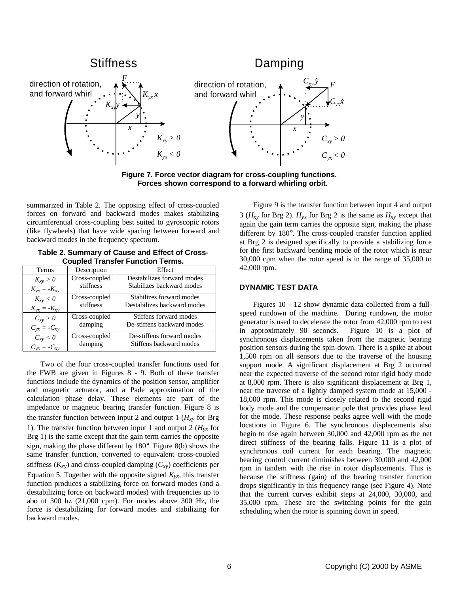

**Figure 7. Force vector diagram for cross-coupling functions. Forces shown correspond to a forward whirling orbit.**

summarized in Table 2. The opposing effect of cross-coupled forces on forward and backward modes makes stabilizing circumferential cross-coupling best suited to gyroscopic rotors (like flywheels) that have wide spacing between forward and backward modes in the frequency spectrum.

| Terms              | Description   | Effect                      |  |  |  |
|--------------------|---------------|-----------------------------|--|--|--|
| $K_{xy} > 0$       | Cross-coupled | Destabilizes forward modes  |  |  |  |
| $K_{vx} = -K_{xv}$ | stiffness     | Stabilizes backward modes   |  |  |  |
| $K_{xy} < 0$       | Cross-coupled | Stabilizes forward modes    |  |  |  |
| $K_{yx} = -K_{xy}$ | stiffness     | Destabilizes backward modes |  |  |  |
| $C_{xy} > 0$       | Cross-coupled | Stiffens forward modes      |  |  |  |
| $C_{yx} = -C_{xy}$ | damping       | De-stiffens backward modes  |  |  |  |
| $C_{xy} < 0$       | Cross-coupled | De-stiffens forward modes   |  |  |  |
| $C_{vx} = -C_{xy}$ | damping       | Stiffens backward modes     |  |  |  |

**Table 2. Summary of Cause and Effect of Cross-Coupled Transfer Function Terms.**

Two of the four cross-coupled transfer functions used for the FWB are given in Figures 8 - 9. Both of these transfer functions include the dynamics of the position sensor, amplifier and magnetic actuator, and a Pade approximation of the calculation phase delay. These elements are part of the impedance or magnetic bearing transfer function. Figure 8 is the transfer function between input 2 and output 1  $(H_{xy})$  for Brg 1). The transfer function between input 1 and output 2 ( $H_{yx}$  for Brg 1) is the same except that the gain term carries the opposite sign, making the phase different by 180°. Figure 8(b) shows the same transfer function, converted to equivalent cross-coupled stiffness  $(K_{xy})$  and cross-coupled damping  $(C_{xy})$  coefficients per Equation 5. Together with the opposite signed  $K_{vx}$ , this transfer function produces a stabilizing force on forward modes (and a destabilizing force on backward modes) with frequencies up to abo ut 300 hz (21,000 cpm). For modes above 300 Hz, the force is destabilizing for forward modes and stabilizing for backward modes.

Figure 9 is the transfer function between input 4 and output 3 ( $H_{xy}$  for Brg 2).  $H_{yx}$  for Brg 2 is the same as  $H_{xy}$  except that again the gain term carries the opposite sign, making the phase different by 180°. The cross-coupled transfer function applied at Brg 2 is designed specifically to provide a stabilizing force for the first backward bending mode of the rotor which is near 30,000 cpm when the rotor speed is in the range of 35,000 to 42,000 rpm.

## **DYNAMIC TEST DATA**

Figures 10 - 12 show dynamic data collected from a fullspeed rundown of the machine. During rundown, the motor generator is used to decelerate the rotor from 42,000 rpm to rest in approximately 90 seconds. Figure 10 is a plot of synchronous displacements taken from the magnetic bearing position sensors during the spin-down. There is a spike at about 1,500 rpm on all sensors due to the traverse of the housing support mode. A significant displacement at Brg 2 occurred near the expected traverse of the second rotor rigid body mode at 8,000 rpm. There is also significant displacement at Brg 1, near the traverse of a lightly damped system mode at 15,000 - 18,000 rpm. This mode is closely related to the second rigid body mode and the compensator pole that provides phase lead for the mode. These response peaks agree well with the mode locations in Figure 6. The synchronous displacements also begin to rise again between 30,000 and 42,000 rpm as the net direct stiffness of the bearing falls. Figure 11 is a plot of synchronous coil current for each bearing. The magnetic bearing control current diminishes between 30,000 and 42,000 rpm in tandem with the rise in rotor displacements. This is because the stiffness (gain) of the bearing transfer function drops significantly in this frequency range (see Figure 4). Note that the current curves exhibit steps at 24,000, 30,000, and 35,000 rpm. These are the switching points for the gain scheduling when the rotor is spinning down in speed.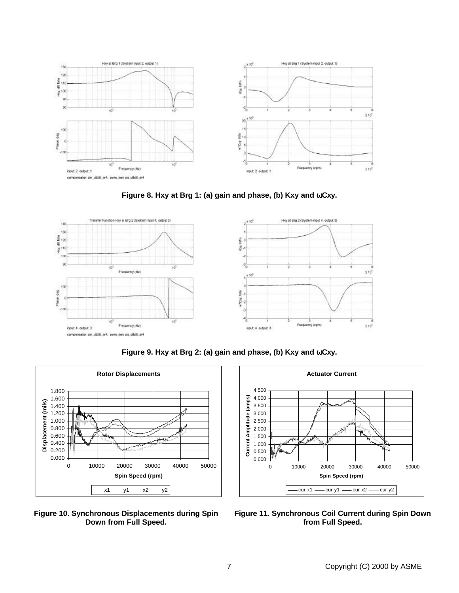





**Figure 9. Hxy at Brg 2: (a) gain and phase, (b) Kxy and** ω**Cxy.**